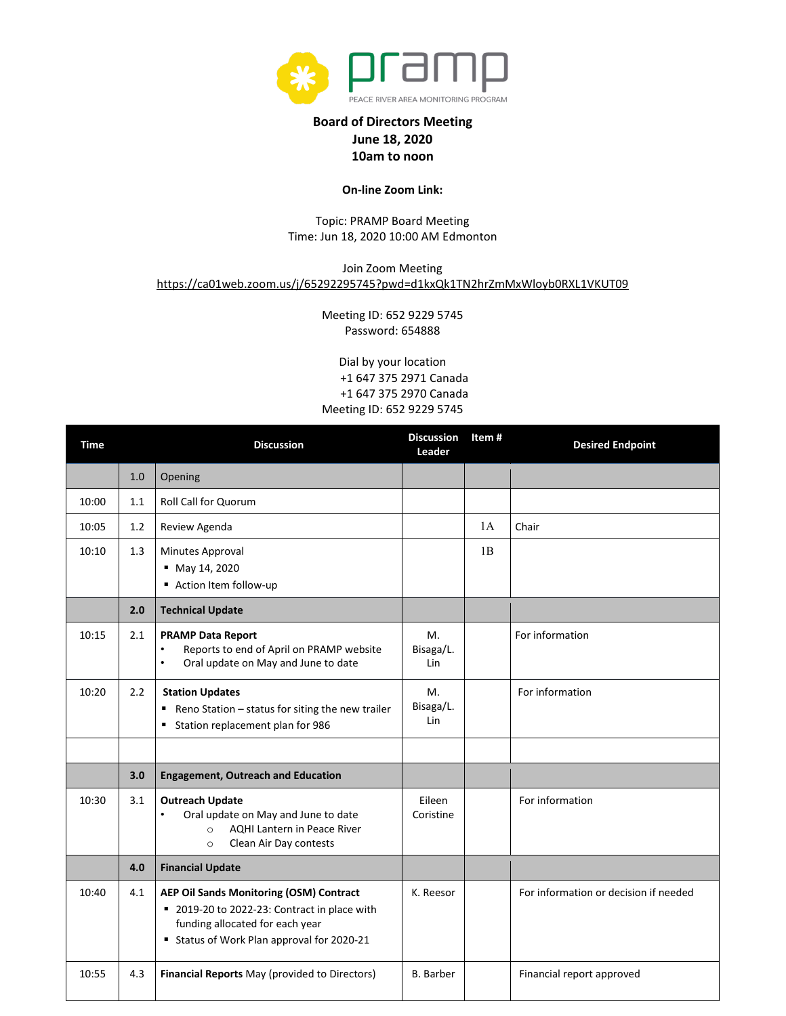

## **Board of Directors Meeting June 18, 2020 10am to noon**

## **On-line Zoom Link:**

## Topic: PRAMP Board Meeting Time: Jun 18, 2020 10:00 AM Edmonton

## Join Zoom Meeting <https://ca01web.zoom.us/j/65292295745?pwd=d1kxQk1TN2hrZmMxWloyb0RXL1VKUT09>

Meeting ID: 652 9229 5745 Password: 654888

Dial by your location +1 647 375 2971 Canada +1 647 375 2970 Canada Meeting ID: 652 9229 5745

| <b>Time</b> |     | <b>Discussion</b>                                                                                                                                                      | <b>Discussion</b><br>Leader | Item# | <b>Desired Endpoint</b>               |
|-------------|-----|------------------------------------------------------------------------------------------------------------------------------------------------------------------------|-----------------------------|-------|---------------------------------------|
|             | 1.0 | Opening                                                                                                                                                                |                             |       |                                       |
| 10:00       | 1.1 | Roll Call for Quorum                                                                                                                                                   |                             |       |                                       |
| 10:05       | 1.2 | Review Agenda                                                                                                                                                          |                             | 1A    | Chair                                 |
| 10:10       | 1.3 | Minutes Approval<br>■ May 14, 2020<br>Action Item follow-up                                                                                                            |                             | 1B    |                                       |
|             | 2.0 | <b>Technical Update</b>                                                                                                                                                |                             |       |                                       |
| 10:15       | 2.1 | <b>PRAMP Data Report</b><br>Reports to end of April on PRAMP website<br>$\bullet$<br>Oral update on May and June to date<br>٠                                          | Μ.<br>Bisaga/L.<br>Lin      |       | For information                       |
| 10:20       | 2.2 | <b>Station Updates</b><br>Reno Station - status for siting the new trailer<br>Station replacement plan for 986                                                         | М.<br>Bisaga/L.<br>Lin      |       | For information                       |
|             |     |                                                                                                                                                                        |                             |       |                                       |
|             | 3.0 | <b>Engagement, Outreach and Education</b>                                                                                                                              |                             |       |                                       |
| 10:30       | 3.1 | <b>Outreach Update</b><br>Oral update on May and June to date<br>$\bullet$<br><b>AQHI Lantern in Peace River</b><br>$\Omega$<br>Clean Air Day contests<br>$\circ$      | Eileen<br>Coristine         |       | For information                       |
|             | 4.0 | <b>Financial Update</b>                                                                                                                                                |                             |       |                                       |
| 10:40       | 4.1 | AEP Oil Sands Monitoring (OSM) Contract<br>■ 2019-20 to 2022-23: Contract in place with<br>funding allocated for each year<br>Status of Work Plan approval for 2020-21 | K. Reesor                   |       | For information or decision if needed |
| 10:55       | 4.3 | Financial Reports May (provided to Directors)                                                                                                                          | <b>B.</b> Barber            |       | Financial report approved             |